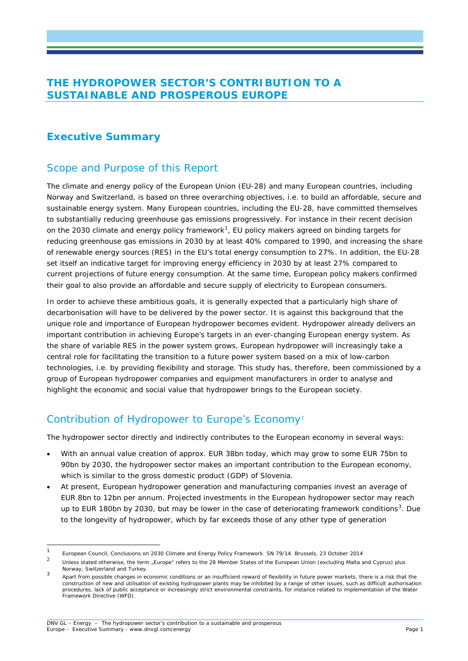### **THE HYDROPOWER SECTOR'S CONTRIBUTION TO A SUSTAINABLE AND PROSPEROUS EUROPE**

### **Executive Summary**

## Scope and Purpose of this Report

The climate and energy policy of the European Union (EU-28) and many European countries, including Norway and Switzerland, is based on three overarching objectives, i.e. to build an affordable, secure and sustainable energy system. Many European countries, including the EU-28, have committed themselves to substantially reducing greenhouse gas emissions progressively. For instance in their recent decision on the 2030 climate and energy policy framework<sup>[1](#page-0-0)</sup>, EU policy makers agreed on binding targets for reducing greenhouse gas emissions in 2030 by at least 40% compared to 1990, and increasing the share of renewable energy sources (RES) in the EU's total energy consumption to 27%. In addition, the EU-28 set itself an indicative target for improving energy efficiency in 2030 by at least 27% compared to current projections of future energy consumption. At the same time, European policy makers confirmed their goal to also provide an affordable and secure supply of electricity to European consumers.

In order to achieve these ambitious goals, it is generally expected that a particularly high share of decarbonisation will have to be delivered by the power sector. It is against this background that the unique role and importance of European hydropower becomes evident. Hydropower already delivers an important contribution in achieving Europe's targets in an ever-changing European energy system. As the share of variable RES in the power system grows, European hydropower will increasingly take a central role for facilitating the transition to a future power system based on a mix of low-carbon technologies, i.e. by providing flexibility and storage. This study has, therefore, been commissioned by a group of European hydropower companies and equipment manufacturers in order to analyse and highlight the economic and social value that hydropower brings to the European society.

## Contribution of Hydropower to Europe's Economy[2](#page-0-1)

The hydropower sector directly and indirectly contributes to the European economy in several ways:

- With an annual value creation of approx. EUR 38bn today, which may grow to some EUR 75bn to 90bn by 2030, the hydropower sector makes an important contribution to the European economy, which is similar to the gross domestic product (GDP) of Slovenia.
- At present, European hydropower generation and manufacturing companies invest an average of EUR 8bn to 12bn per annum. Projected investments in the European hydropower sector may reach up to EUR 180bn by 20[3](#page-0-2)0, but may be lower in the case of deteriorating framework conditions<sup>3</sup>. Due to the longevity of hydropower, which by far exceeds those of any other type of generation

<span id="page-0-0"></span><sup>&</sup>lt;sup>1</sup> European Council, Conclusions on 2030 Climate and Energy Policy Framework. SN 79/14. Brussels, 23 October 2014

<span id="page-0-1"></span>Unless stated otherwise, the term "Europe" refers to the 28 Member States of the European Union (excluding Malta and Cyprus) plus Norway, Switzerland and Turkey.

<span id="page-0-2"></span><sup>3</sup> Apart from possible changes in economic conditions or an insufficient reward of flexibility in future power markets, there is a risk that the construction of new and utilisation of existing hydropower plants may be inhibited by a range of other issues, such as difficult authorisation procedures, lack of public acceptance or increasingly strict environmental constraints, for instance related to implementation of the Water Framework Directive (WFD).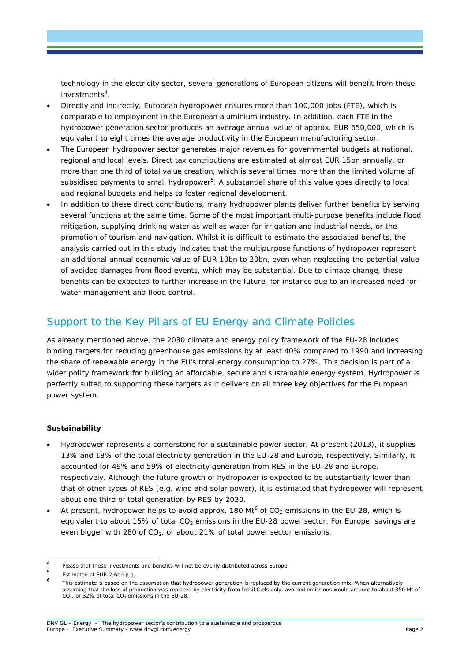technology in the electricity sector, several generations of European citizens will benefit from these investments<sup>[4](#page-1-0)</sup>.

- Directly and indirectly, European hydropower ensures more than 100,000 jobs (FTE), which is comparable to employment in the European aluminium industry. In addition, each FTE in the hydropower generation sector produces an average annual value of approx. EUR 650,000, which is equivalent to eight times the average productivity in the European manufacturing sector.
- The European hydropower sector generates major revenues for governmental budgets at national, regional and local levels. Direct tax contributions are estimated at almost EUR 15bn annually, or more than one third of total value creation, which is several times more than the limited volume of subsidised payments to small hydropower<sup>[5](#page-1-1)</sup>. A substantial share of this value goes directly to local and regional budgets and helps to foster regional development.
- In addition to these direct contributions, many hydropower plants deliver further benefits by serving several functions at the same time. Some of the most important multi-purpose benefits include flood mitigation, supplying drinking water as well as water for irrigation and industrial needs, or the promotion of tourism and navigation. Whilst it is difficult to estimate the associated benefits, the analysis carried out in this study indicates that the multipurpose functions of hydropower represent an additional annual economic value of EUR 10bn to 20bn, even when neglecting the potential value of avoided damages from flood events, which may be substantial. Due to climate change, these benefits can be expected to further increase in the future, for instance due to an increased need for water management and flood control.

## Support to the Key Pillars of EU Energy and Climate Policies

As already mentioned above, the 2030 climate and energy policy framework of the EU-28 includes binding targets for reducing greenhouse gas emissions by at least 40% compared to 1990 and increasing the share of renewable energy in the EU's total energy consumption to 27%. This decision is part of a wider policy framework for building an affordable, secure and sustainable energy system. Hydropower is perfectly suited to supporting these targets as it delivers on all three key objectives for the European power system.

#### **Sustainability**

- Hydropower represents a cornerstone for a sustainable power sector. At present (2013), it supplies 13% and 18% of the total electricity generation in the EU-28 and Europe, respectively. Similarly, it accounted for 49% and 59% of electricity generation from RES in the EU-28 and Europe, respectively. Although the future growth of hydropower is expected to be substantially lower than that of other types of RES (e.g. wind and solar power), it is estimated that hydropower will represent about one third of total generation by RES by 2030.
- At present, hydropower helps to avoid approx. 180 Mt<sup>[6](#page-1-2)</sup> of  $CO_2$  emissions in the EU-28, which is equivalent to about 15% of total  $CO<sub>2</sub>$  emissions in the EU-28 power sector. For Europe, savings are even bigger with 280 of  $CO<sub>2</sub>$ , or about 21% of total power sector emissions.

<span id="page-1-0"></span><sup>&</sup>lt;sup>4</sup> Please that these investments and benefits will not be evenly distributed across Europe.

<span id="page-1-1"></span> $5$  Estimated at EUR 2.6bn p.a.

<span id="page-1-2"></span>This estimate is based on the assumption that hydropower generation is replaced by the current generation mix. When alternatively assuming that the loss of production was replaced by electricity from fossil fuels only, avoided emissions would amount to about 350 Mt of  $CO<sub>2</sub>$ , or 32% of total  $CO<sub>2</sub>$  emissions in the EU-28.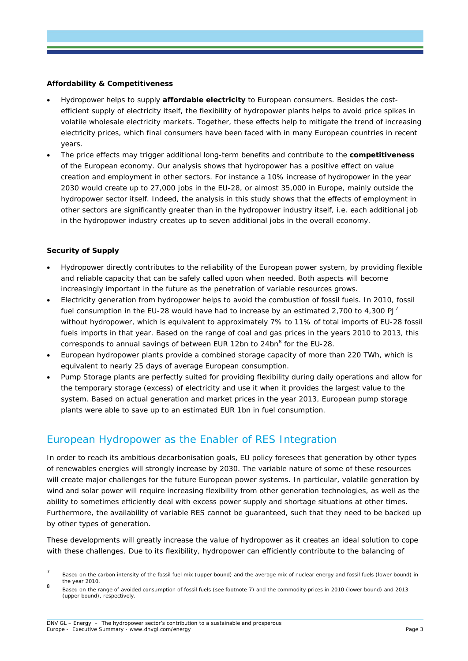#### **Affordability & Competitiveness**

- Hydropower helps to supply **affordable electricity** to European consumers. Besides the costefficient supply of electricity itself, the flexibility of hydropower plants helps to avoid price spikes in volatile wholesale electricity markets. Together, these effects help to mitigate the trend of increasing electricity prices, which final consumers have been faced with in many European countries in recent years.
- The price effects may trigger additional long-term benefits and contribute to the **competitiveness** of the European economy. Our analysis shows that hydropower has a positive effect on value creation and employment in other sectors. For instance a 10% increase of hydropower in the year 2030 would create up to 27,000 jobs in the EU-28, or almost 35,000 in Europe, mainly outside the hydropower sector itself. Indeed, the analysis in this study shows that the effects of employment in other sectors are significantly greater than in the hydropower industry itself, i.e. each additional job in the hydropower industry creates up to seven additional jobs in the overall economy.

#### **Security of Supply**

- Hydropower directly contributes to the reliability of the European power system, by providing flexible and reliable capacity that can be safely called upon when needed. Both aspects will become increasingly important in the future as the penetration of variable resources grows.
- <span id="page-2-0"></span>• Electricity generation from hydropower helps to avoid the combustion of fossil fuels. In 2010, fossil fuel consumption in the EU-28 would have had to increase by an estimated 2,[7](#page-2-1)00 to 4,300 PJ<sup>7</sup> without hydropower, which is equivalent to approximately 7% to 11% of total imports of EU-28 fossil fuels imports in that year. Based on the range of coal and gas prices in the years 2010 to 2013, this corresponds to annual savings of between EUR 12bn to 24bn<sup>[8](#page-2-2)</sup> for the EU-28.
- European hydropower plants provide a combined storage capacity of more than 220 TWh, which is equivalent to nearly 25 days of average European consumption.
- Pump Storage plants are perfectly suited for providing flexibility during daily operations and allow for the temporary storage (excess) of electricity and use it when it provides the largest value to the system. Based on actual generation and market prices in the year 2013, European pump storage plants were able to save up to an estimated EUR 1bn in fuel consumption.

### European Hydropower as the Enabler of RES Integration

In order to reach its ambitious decarbonisation goals, EU policy foresees that generation by other types of renewables energies will strongly increase by 2030. The variable nature of some of these resources will create major challenges for the future European power systems. In particular, volatile generation by wind and solar power will require increasing flexibility from other generation technologies, as well as the ability to sometimes efficiently deal with excess power supply and shortage situations at other times. Furthermore, the availability of variable RES cannot be guaranteed, such that they need to be backed up by other types of generation.

These developments will greatly increase the value of hydropower as it creates an ideal solution to cope with these challenges. Due to its flexibility, hydropower can efficiently contribute to the balancing of

<span id="page-2-1"></span><sup>&</sup>lt;sup>7</sup> Based on the carbon intensity of the fossil fuel mix (upper bound) and the average mix of nuclear energy and fossil fuels (lower bound) in the year 2010.

<span id="page-2-2"></span><sup>8</sup> Based on the range of avoided consumption of fossil fuels (see footnote [7\)](#page-2-0) and the commodity prices in 2010 (lower bound) and 2013 (upper bound), respectively.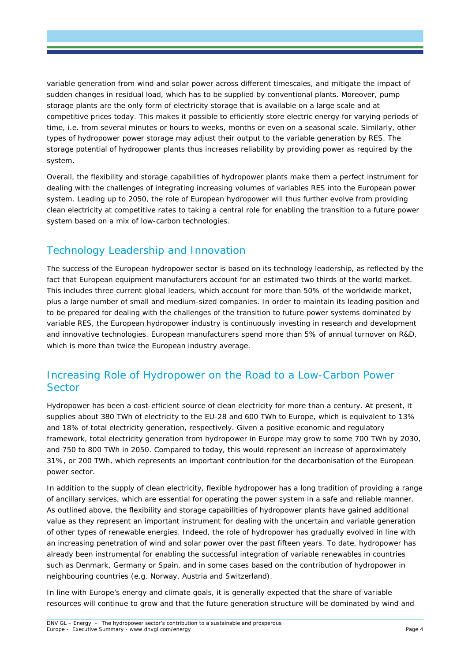variable generation from wind and solar power across different timescales, and mitigate the impact of sudden changes in residual load, which has to be supplied by conventional plants. Moreover, pump storage plants are the only form of electricity storage that is available on a large scale and at competitive prices today. This makes it possible to efficiently store electric energy for varying periods of time, i.e. from several minutes or hours to weeks, months or even on a seasonal scale. Similarly, other types of hydropower power storage may adjust their output to the variable generation by RES. The storage potential of hydropower plants thus increases reliability by providing power as required by the system.

Overall, the flexibility and storage capabilities of hydropower plants make them a perfect instrument for dealing with the challenges of integrating increasing volumes of variables RES into the European power system. Leading up to 2050, the role of European hydropower will thus further evolve from providing clean electricity at competitive rates to taking a central role for enabling the transition to a future power system based on a mix of low-carbon technologies.

# Technology Leadership and Innovation

The success of the European hydropower sector is based on its technology leadership, as reflected by the fact that European equipment manufacturers account for an estimated two thirds of the world market. This includes three current global leaders, which account for more than 50% of the worldwide market, plus a large number of small and medium-sized companies. In order to maintain its leading position and to be prepared for dealing with the challenges of the transition to future power systems dominated by variable RES, the European hydropower industry is continuously investing in research and development and innovative technologies. European manufacturers spend more than 5% of annual turnover on R&D, which is more than twice the European industry average.

## Increasing Role of Hydropower on the Road to a Low-Carbon Power **Sector**

Hydropower has been a cost-efficient source of clean electricity for more than a century. At present, it supplies about 380 TWh of electricity to the EU-28 and 600 TWh to Europe, which is equivalent to 13% and 18% of total electricity generation, respectively. Given a positive economic and regulatory framework, total electricity generation from hydropower in Europe may grow to some 700 TWh by 2030, and 750 to 800 TWh in 2050. Compared to today, this would represent an increase of approximately 31%, or 200 TWh, which represents an important contribution for the decarbonisation of the European power sector.

In addition to the supply of clean electricity, flexible hydropower has a long tradition of providing a range of ancillary services, which are essential for operating the power system in a safe and reliable manner. As outlined above, the flexibility and storage capabilities of hydropower plants have gained additional value as they represent an important instrument for dealing with the uncertain and variable generation of other types of renewable energies. Indeed, the role of hydropower has gradually evolved in line with an increasing penetration of wind and solar power over the past fifteen years. To date, hydropower has already been instrumental for enabling the successful integration of variable renewables in countries such as Denmark, Germany or Spain, and in some cases based on the contribution of hydropower in neighbouring countries (e.g. Norway, Austria and Switzerland).

In line with Europe's energy and climate goals, it is generally expected that the share of variable resources will continue to grow and that the future generation structure will be dominated by wind and